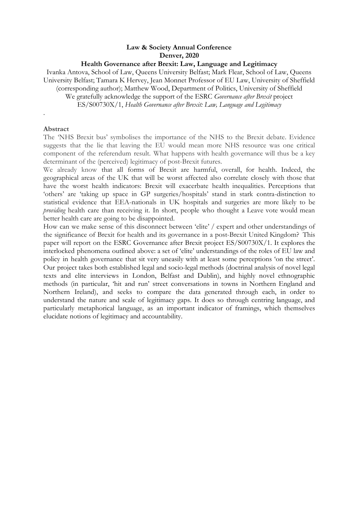# **Law & Society Annual Conference Denver, 2020**

#### **Health Governance after Brexit: Law, Language and Legitimacy**

Ivanka Antova, School of Law, Queens University Belfast; Mark Flear, School of Law, Queens University Belfast; Tamara K Hervey, Jean Monnet Professor of EU Law, University of Sheffield (corresponding author); Matthew Wood, Department of Politics, University of Sheffield We gratefully acknowledge the support of the ESRC *Governance after Brexit* project ES/S00730X/1, *Health Governance after Brexit: Law, Language and Legitimacy*

#### **Abstract**

.

The 'NHS Brexit bus' symbolises the importance of the NHS to the Brexit debate. Evidence suggests that the lie that leaving the EU would mean more NHS resource was one critical component of the referendum result. What happens with health governance will thus be a key determinant of the (perceived) legitimacy of post-Brexit futures.

We already know that all forms of Brexit are harmful, overall, for health. Indeed, the geographical areas of the UK that will be worst affected also correlate closely with those that have the worst health indicators: Brexit will exacerbate health inequalities. Perceptions that 'others' are 'taking up space in GP surgeries/hospitals' stand in stark contra-distinction to statistical evidence that EEA-nationals in UK hospitals and surgeries are more likely to be *providing* health care than receiving it. In short, people who thought a Leave vote would mean better health care are going to be disappointed.

How can we make sense of this disconnect between 'elite' / expert and other understandings of the significance of Brexit for health and its governance in a post-Brexit United Kingdom? This paper will report on the ESRC Governance after Brexit project ES/S00730X/1. It explores the interlocked phenomena outlined above: a set of 'elite' understandings of the roles of EU law and policy in health governance that sit very uneasily with at least some perceptions 'on the street'. Our project takes both established legal and socio-legal methods (doctrinal analysis of novel legal texts and elite interviews in London, Belfast and Dublin), and highly novel ethnographic methods (in particular, 'hit and run' street conversations in towns in Northern England and Northern Ireland), and seeks to compare the data generated through each, in order to understand the nature and scale of legitimacy gaps. It does so through centring language, and particularly metaphorical language, as an important indicator of framings, which themselves elucidate notions of legitimacy and accountability.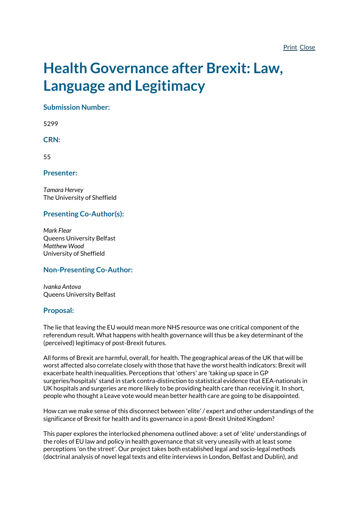# **Health Governance after Brexit: Law, Language and Legitimacy**

**Submission Number:**

5299

### **CRN:**

55

**Presenter:**

*Tamara Hervey* The University of Sheffield

# **Presenting Co-Author(s):**

*Mark Flear* Queens University Belfast *Matthew Wood* University of Sheffield

# **Non-Presenting Co-Author:**

*Ivanka Antova* Queens University Belfast

#### **Proposal:**

The lie that leaving the EU would mean more NHS resource was one critical component of the referendum result. What happens with health governance will thus be a key determinant of the (perceived) legitimacy of post-Brexit futures.

All forms of Brexit are harmful, overall, for health. The geographical areas of the UK that will be worst affected also correlate closely with those that have the worst health indicators: Brexit will exacerbate health inequalities. Perceptions that 'others' are 'taking up space in GP surgeries/hospitals' stand in stark contra-distinction to statistical evidence that EEA-nationals in UK hospitals and surgeries are more likely to be providing health care than receiving it. In short, people who thought a Leave vote would mean better health care are going to be disappointed.

How can we make sense of this disconnect between 'elite' / expert and other understandings of the significance of Brexit for health and its governance in a post-Brexit United Kingdom?

This paper explores the interlocked phenomena outlined above: a set of 'elite' understandings of the roles of EU law and policy in health governance that sit very uneasily with at least some perceptions 'on the street'. Our project takes both established legal and socio-legal methods (doctrinal analysis of novel legal texts and elite interviews in London, Belfast and Dublin), and